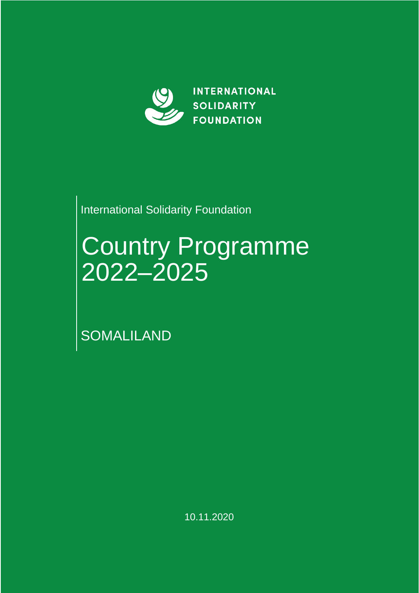

International Solidarity Foundation

# Country Programme 2022–2025

**SOMALILAND** 

10.11.2020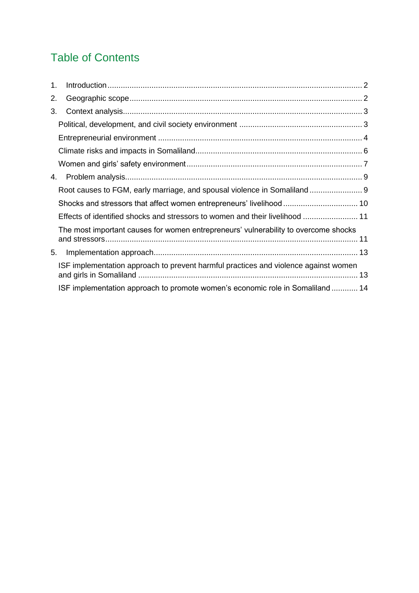# Table of Contents

| 1. |                                                                                     |  |
|----|-------------------------------------------------------------------------------------|--|
| 2. |                                                                                     |  |
| 3. |                                                                                     |  |
|    |                                                                                     |  |
|    |                                                                                     |  |
|    |                                                                                     |  |
|    |                                                                                     |  |
| 4. |                                                                                     |  |
|    | Root causes to FGM, early marriage, and spousal violence in Somaliland 9            |  |
|    | Shocks and stressors that affect women entrepreneurs' livelihood  10                |  |
|    | Effects of identified shocks and stressors to women and their livelihood  11        |  |
|    | The most important causes for women entrepreneurs' vulnerability to overcome shocks |  |
| 5. |                                                                                     |  |
|    | ISF implementation approach to prevent harmful practices and violence against women |  |
|    | ISF implementation approach to promote women's economic role in Somaliland 14       |  |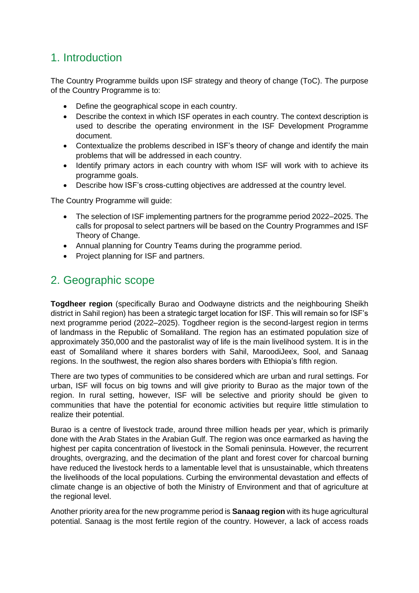## <span id="page-2-0"></span>1. Introduction

The Country Programme builds upon ISF strategy and theory of change (ToC). The purpose of the Country Programme is to:

- Define the geographical scope in each country.
- Describe the context in which ISF operates in each country. The context description is used to describe the operating environment in the ISF Development Programme document.
- Contextualize the problems described in ISF's theory of change and identify the main problems that will be addressed in each country.
- Identify primary actors in each country with whom ISF will work with to achieve its programme goals.
- Describe how ISF's cross-cutting objectives are addressed at the country level.

The Country Programme will guide:

- The selection of ISF implementing partners for the programme period 2022–2025. The calls for proposal to select partners will be based on the Country Programmes and ISF Theory of Change.
- Annual planning for Country Teams during the programme period.
- Project planning for ISF and partners.

## <span id="page-2-1"></span>2. Geographic scope

**Togdheer region** (specifically Burao and Oodwayne districts and the neighbouring Sheikh district in Sahil region) has been a strategic target location for ISF. This will remain so for ISF's next programme period (2022–2025). Togdheer region is the second-largest region in terms of landmass in the Republic of Somaliland. The region has an estimated population size of approximately 350,000 and the pastoralist way of life is the main livelihood system. It is in the east of Somaliland where it shares borders with Sahil, MaroodiJeex, Sool, and Sanaag regions. In the southwest, the region also shares borders with Ethiopia's fifth region.

There are two types of communities to be considered which are urban and rural settings. For urban, ISF will focus on big towns and will give priority to Burao as the major town of the region. In rural setting, however, ISF will be selective and priority should be given to communities that have the potential for economic activities but require little stimulation to realize their potential.

Burao is a centre of livestock trade, around three million heads per year, which is primarily done with the Arab States in the Arabian Gulf. The region was once earmarked as having the highest per capita concentration of livestock in the Somali peninsula. However, the recurrent droughts, overgrazing, and the decimation of the plant and forest cover for charcoal burning have reduced the livestock herds to a lamentable level that is unsustainable, which threatens the livelihoods of the local populations. Curbing the environmental devastation and effects of climate change is an objective of both the Ministry of Environment and that of agriculture at the regional level.

Another priority area for the new programme period is **Sanaag region** with its huge agricultural potential. Sanaag is the most fertile region of the country. However, a lack of access roads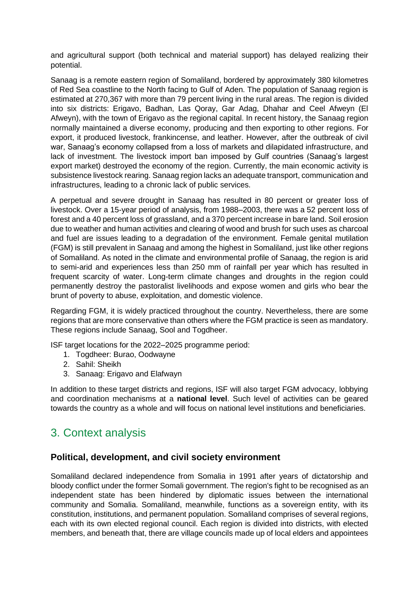and agricultural support (both technical and material support) has delayed realizing their potential.

Sanaag is a remote eastern region of Somaliland, bordered by approximately 380 kilometres of Red Sea coastline to the North facing to Gulf of Aden. The population of Sanaag region is estimated at 270,367 with more than 79 percent living in the rural areas. The region is divided into six districts: Erigavo, Badhan, Las Qoray, Gar Adag, Dhahar and Ceel Afweyn (El Afweyn), with the town of Erigavo as the regional capital. In recent history, the Sanaag region normally maintained a diverse economy, producing and then exporting to other regions. For export, it produced livestock, frankincense, and leather. However, after the outbreak of civil war, Sanaag's economy collapsed from a loss of markets and dilapidated infrastructure, and lack of investment. The livestock import ban imposed by Gulf countries (Sanaag's largest export market) destroyed the economy of the region. Currently, the main economic activity is subsistence livestock rearing. Sanaag region lacks an adequate transport, communication and infrastructures, leading to a chronic lack of public services.

A perpetual and severe drought in Sanaag has resulted in 80 percent or greater loss of livestock. Over a 15-year period of analysis, from 1988–2003, there was a 52 percent loss of forest and a 40 percent loss of grassland, and a 370 percent increase in bare land. Soil erosion due to weather and human activities and clearing of wood and brush for such uses as charcoal and fuel are issues leading to a degradation of the environment. Female genital mutilation (FGM) is still prevalent in Sanaag and among the highest in Somaliland, just like other regions of Somaliland. As noted in the climate and environmental profile of Sanaag, the region is arid to semi-arid and experiences less than 250 mm of rainfall per year which has resulted in frequent scarcity of water. Long-term climate changes and droughts in the region could permanently destroy the pastoralist livelihoods and expose women and girls who bear the brunt of poverty to abuse, exploitation, and domestic violence.

Regarding FGM, it is widely practiced throughout the country. Nevertheless, there are some regions that are more conservative than others where the FGM practice is seen as mandatory. These regions include Sanaag, Sool and Togdheer.

ISF target locations for the 2022–2025 programme period:

- 1. Togdheer: Burao, Oodwayne
- 2. Sahil: Sheikh
- 3. Sanaag: Erigavo and Elafwayn

In addition to these target districts and regions, ISF will also target FGM advocacy, lobbying and coordination mechanisms at a **national level**. Such level of activities can be geared towards the country as a whole and will focus on national level institutions and beneficiaries.

# <span id="page-3-0"></span>3. Context analysis

#### <span id="page-3-1"></span>**Political, development, and civil society environment**

Somaliland declared independence from Somalia in 1991 after years of dictatorship and bloody conflict under the former Somali government. The region's fight to be recognised as an independent state has been hindered by diplomatic issues between the international community and Somalia. Somaliland, meanwhile, functions as a sovereign entity, with its constitution, institutions, and permanent population. Somaliland comprises of several regions, each with its own elected regional council. Each region is divided into districts, with elected members, and beneath that, there are village councils made up of local elders and appointees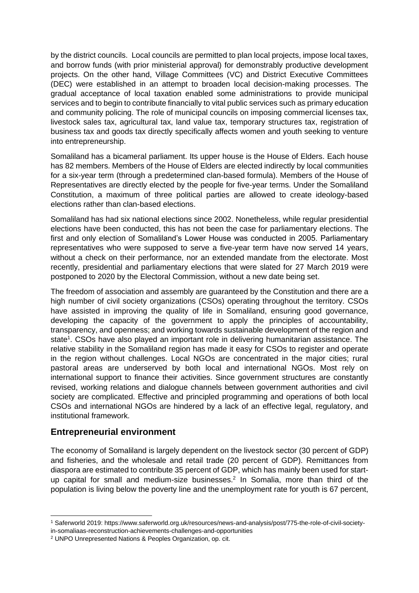by the district councils. Local councils are permitted to plan local projects, impose local taxes, and borrow funds (with prior ministerial approval) for demonstrably productive development projects. On the other hand, Village Committees (VC) and District Executive Committees (DEC) were established in an attempt to broaden local decision-making processes. The gradual acceptance of local taxation enabled some administrations to provide municipal services and to begin to contribute financially to vital public services such as primary education and community policing. The role of municipal councils on imposing commercial licenses tax, livestock sales tax, agricultural tax, land value tax, temporary structures tax, registration of business tax and goods tax directly specifically affects women and youth seeking to venture into entrepreneurship.

Somaliland has a bicameral parliament. Its upper house is the House of Elders. Each house has 82 members. Members of the House of Elders are elected indirectly by local communities for a six-year term (through a predetermined clan-based formula). Members of the House of Representatives are directly elected by the people for five-year terms. Under the Somaliland Constitution, a maximum of three political parties are allowed to create ideology-based elections rather than clan-based elections.

Somaliland has had six national elections since 2002. Nonetheless, while regular presidential elections have been conducted, this has not been the case for parliamentary elections. The first and only election of Somaliland's Lower House was conducted in 2005. Parliamentary representatives who were supposed to serve a five-year term have now served 14 years, without a check on their performance, nor an extended mandate from the electorate. Most recently, presidential and parliamentary elections that were slated for 27 March 2019 were postponed to 2020 by the Electoral Commission, without a new date being set.

The freedom of association and assembly are guaranteed by the Constitution and there are a high number of civil society organizations (CSOs) operating throughout the territory. CSOs have assisted in improving the quality of life in Somaliland, ensuring good governance, developing the capacity of the government to apply the principles of accountability, transparency, and openness; and working towards sustainable development of the region and state<sup>1</sup>. CSOs have also played an important role in delivering humanitarian assistance. The relative stability in the Somaliland region has made it easy for CSOs to register and operate in the region without challenges. Local NGOs are concentrated in the major cities; rural pastoral areas are underserved by both local and international NGOs. Most rely on international support to finance their activities. Since government structures are constantly revised, working relations and dialogue channels between government authorities and civil society are complicated. Effective and principled programming and operations of both local CSOs and international NGOs are hindered by a lack of an effective legal, regulatory, and institutional framework.

### <span id="page-4-0"></span>**Entrepreneurial environment**

The economy of Somaliland is largely dependent on the livestock sector (30 percent of GDP) and fisheries, and the wholesale and retail trade (20 percent of GDP). Remittances from diaspora are estimated to contribute 35 percent of GDP, which has mainly been used for startup capital for small and medium-size businesses.<sup>2</sup> In Somalia, more than third of the population is living below the poverty line and the unemployment rate for youth is 67 percent,

<sup>1</sup> Saferworld 2019: https://www.saferworld.org.uk/resources/news-and-analysis/post/775-the-role-of-civil-society-

in-somaliaas-reconstruction-achievements-challenges-and-opportunities

<sup>2</sup> UNPO Unrepresented Nations & Peoples Organization, op. cit.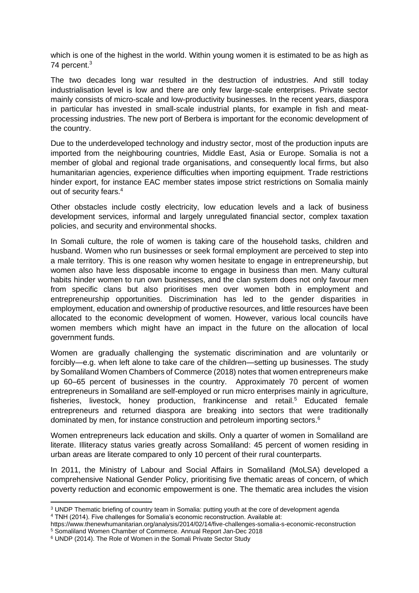which is one of the highest in the world. Within young women it is estimated to be as high as 74 percent.<sup>3</sup>

The two decades long war resulted in the destruction of industries. And still today industrialisation level is low and there are only few large-scale enterprises. Private sector mainly consists of micro-scale and low-productivity businesses. In the recent years, diaspora in particular has invested in small-scale industrial plants, for example in fish and meatprocessing industries. The new port of Berbera is important for the economic development of the country.

Due to the underdeveloped technology and industry sector, most of the production inputs are imported from the neighbouring countries, Middle East, Asia or Europe. Somalia is not a member of global and regional trade organisations, and consequently local firms, but also humanitarian agencies, experience difficulties when importing equipment. Trade restrictions hinder export, for instance EAC member states impose strict restrictions on Somalia mainly out of security fears.<sup>4</sup>

Other obstacles include costly electricity, low education levels and a lack of business development services, informal and largely unregulated financial sector, complex taxation policies, and security and environmental shocks.

In Somali culture, the role of women is taking care of the household tasks, children and husband. Women who run businesses or seek formal employment are perceived to step into a male territory. This is one reason why women hesitate to engage in entrepreneurship, but women also have less disposable income to engage in business than men. Many cultural habits hinder women to run own businesses, and the clan system does not only favour men from specific clans but also prioritises men over women both in employment and entrepreneurship opportunities. Discrimination has led to the gender disparities in employment, education and ownership of productive resources, and little resources have been allocated to the economic development of women. However, various local councils have women members which might have an impact in the future on the allocation of local government funds.

Women are gradually challenging the systematic discrimination and are voluntarily or forcibly—e.g. when left alone to take care of the children—setting up businesses. The study by Somaliland Women Chambers of Commerce (2018) notes that women entrepreneurs make up 60–65 percent of businesses in the country. Approximately 70 percent of women entrepreneurs in Somaliland are self-employed or run micro enterprises mainly in agriculture, fisheries, livestock, honey production, frankincense and retail.<sup>5</sup> Educated female entrepreneurs and returned diaspora are breaking into sectors that were traditionally dominated by men, for instance construction and petroleum importing sectors.<sup>6</sup>

Women entrepreneurs lack education and skills. Only a quarter of women in Somaliland are literate. Illiteracy status varies greatly across Somaliland: 45 percent of women residing in urban areas are literate compared to only 10 percent of their rural counterparts.

In 2011, the Ministry of Labour and Social Affairs in Somaliland (MoLSA) developed a comprehensive National Gender Policy, prioritising five thematic areas of concern, of which poverty reduction and economic empowerment is one. The thematic area includes the vision

<sup>3</sup> UNDP Thematic briefing of country team in Somalia: putting youth at the core of development agenda <sup>4</sup> TNH (2014). Five challenges for Somalia's economic reconstruction. Available at:

https://www.thenewhumanitarian.org/analysis/2014/02/14/five-challenges-somalia-s-economic-reconstruction <sup>5</sup> Somaliland Women Chamber of Commerce. Annual Report Jan-Dec 2018

<sup>6</sup> UNDP (2014). The Role of Women in the Somali Private Sector Study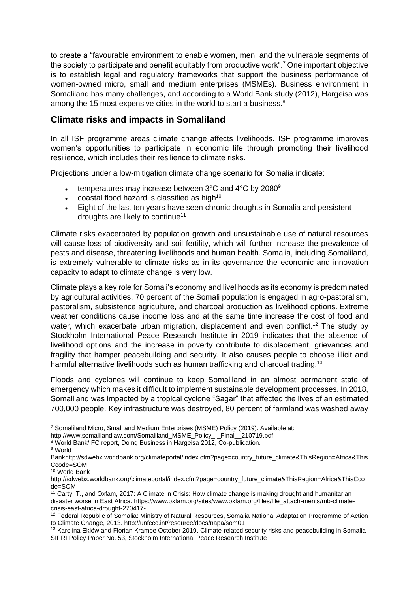to create a "favourable environment to enable women, men, and the vulnerable segments of the society to participate and benefit equitably from productive work".<sup>7</sup> One important objective is to establish legal and regulatory frameworks that support the business performance of women-owned micro, small and medium enterprises (MSMEs). Business environment in Somaliland has many challenges, and according to a World Bank study (2012), Hargeisa was among the 15 most expensive cities in the world to start a business.<sup>8</sup>

## <span id="page-6-0"></span>**Climate risks and impacts in Somaliland**

In all ISF programme areas climate change affects livelihoods. ISF programme improves women's opportunities to participate in economic life through promoting their livelihood resilience, which includes their resilience to climate risks.

Projections under a low-mitigation climate change scenario for Somalia indicate:

- temperatures may increase between 3°C and 4°C by 2080<sup>9</sup>
- coastal flood hazard is classified as high $10$
- Eight of the last ten years have seen chronic droughts in Somalia and persistent droughts are likely to continue<sup>11</sup>

Climate risks exacerbated by population growth and unsustainable use of natural resources will cause loss of biodiversity and soil fertility, which will further increase the prevalence of pests and disease, threatening livelihoods and human health. Somalia, including Somaliland, is extremely vulnerable to climate risks as in its governance the economic and innovation capacity to adapt to climate change is very low.

Climate plays a key role for Somali's economy and livelihoods as its economy is predominated by agricultural activities. 70 percent of the Somali population is engaged in agro-pastoralism, pastoralism, subsistence agriculture, and charcoal production as livelihood options. Extreme weather conditions cause income loss and at the same time increase the cost of food and water, which exacerbate urban migration, displacement and even conflict.<sup>12</sup> The study by Stockholm International Peace Research Institute in 2019 indicates that the absence of livelihood options and the increase in poverty contribute to displacement, grievances and fragility that hamper peacebuilding and security. It also causes people to choose illicit and harmful alternative livelihoods such as human trafficking and charcoal trading.<sup>13</sup>

Floods and cyclones will continue to keep Somaliland in an almost permanent state of emergency which makes it difficult to implement sustainable development processes. In 2018, Somaliland was impacted by a tropical cyclone "Sagar" that affected the lives of an estimated 700,000 people. Key infrastructure was destroyed, 80 percent of farmland was washed away

<sup>7</sup> Somaliland Micro, Small and Medium Enterprises (MSME) Policy (2019). Available at:

http://www.somalilandlaw.com/Somaliland\_MSME\_Policy\_-\_Final\_\_210719.pdf

<sup>8</sup> World Bank/IFC report, Doing Business in Hargeisa 2012, Co-publication.

<sup>9</sup> World

Bankhttp://sdwebx.worldbank.org/climateportal/index.cfm?page=country\_future\_climate&ThisRegion=Africa&This Ccode=SOM

<sup>10</sup> World Bank

http://sdwebx.worldbank.org/climateportal/index.cfm?page=country\_future\_climate&ThisRegion=Africa&ThisCco de=SOM

<sup>11</sup> Carty, T., and Oxfam, 2017: A Climate in Crisis: How climate change is making drought and humanitarian disaster worse in East Africa. https://www.oxfam.org/sites/www.oxfam.org/files/file\_attach-ments/mb-climatecrisis-east-africa-drought-270417-

<sup>&</sup>lt;sup>12</sup> Federal Republic of Somalia: Ministry of Natural Resources, Somalia National Adaptation Programme of Action to Climate Change, 2013. http://unfccc.int/resource/docs/napa/som01

<sup>&</sup>lt;sup>13</sup> Karolina Eklöw and Florian Krampe October 2019. Climate-related security risks and peacebuilding in Somalia SIPRI Policy Paper No. 53, Stockholm International Peace Research Institute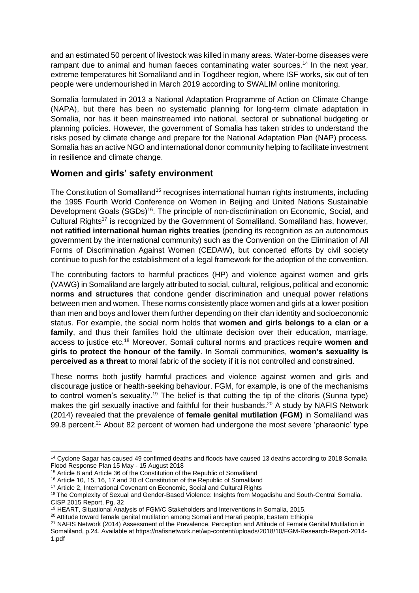and an estimated 50 percent of livestock was killed in many areas. Water-borne diseases were rampant due to animal and human faeces contaminating water sources.<sup>14</sup> In the next year, extreme temperatures hit Somaliland and in Togdheer region, where ISF works, six out of ten people were undernourished in March 2019 according to SWALIM online monitoring.

Somalia formulated in 2013 a National Adaptation Programme of Action on Climate Change (NAPA), but there has been no systematic planning for long-term climate adaptation in Somalia, nor has it been mainstreamed into national, sectoral or subnational budgeting or planning policies. However, the government of Somalia has taken strides to understand the risks posed by climate change and prepare for the National Adaptation Plan (NAP) process. Somalia has an active NGO and international donor community helping to facilitate investment in resilience and climate change.

## <span id="page-7-0"></span>**Women and girls' safety environment**

The Constitution of Somaliland<sup>15</sup> recognises international human rights instruments, including the 1995 Fourth World Conference on Women in Beijing and United Nations Sustainable Development Goals (SGDs)<sup>16</sup>. The principle of non-discrimination on Economic, Social, and Cultural Rights<sup>17</sup> is recognized by the Government of Somaliland. Somaliland has, however, **not ratified international human rights treaties** (pending its recognition as an autonomous government by the international community) such as the Convention on the Elimination of All Forms of Discrimination Against Women (CEDAW), but concerted efforts by civil society continue to push for the establishment of a legal framework for the adoption of the convention.

The contributing factors to harmful practices (HP) and violence against women and girls (VAWG) in Somaliland are largely attributed to social, cultural, religious, political and economic **norms and structures** that condone gender discrimination and unequal power relations between men and women. These norms consistently place women and girls at a lower position than men and boys and lower them further depending on their clan identity and socioeconomic status. For example, the social norm holds that **women and girls belongs to a clan or a family**, and thus their families hold the ultimate decision over their education, marriage, access to justice etc.<sup>18</sup> Moreover, Somali cultural norms and practices require **women and girls to protect the honour of the family**. In Somali communities, **women's sexuality is perceived as a threat** to moral fabric of the society if it is not controlled and constrained.

These norms both justify harmful practices and violence against women and girls and discourage justice or health-seeking behaviour. FGM, for example, is one of the mechanisms to control women's sexuality.<sup>19</sup> The belief is that cutting the tip of the clitoris (Sunna type) makes the girl sexually inactive and faithful for their husbands.<sup>20</sup> A study by NAFIS Network (2014) revealed that the prevalence of **female genital mutilation (FGM)** in Somaliland was 99.8 percent.<sup>21</sup> About 82 percent of women had undergone the most severe 'pharaonic' type

<sup>14</sup> Cyclone Sagar has caused 49 confirmed deaths and floods have caused 13 deaths according to 2018 Somalia Flood Response Plan 15 May - 15 August 2018

<sup>15</sup> Article 8 and Article 36 of the Constitution of the Republic of Somaliland

<sup>16</sup> Article 10, 15, 16, 17 and 20 of Constitution of the Republic of Somaliland

<sup>17</sup> Article 2, International Covenant on Economic, Social and Cultural Rights

<sup>&</sup>lt;sup>18</sup> The Complexity of Sexual and Gender-Based Violence: Insights from Mogadishu and South-Central Somalia. CISP 2015 Report, Pg. 32

<sup>19</sup> HEART, Situational Analysis of FGM/C Stakeholders and Interventions in Somalia, 2015.

<sup>&</sup>lt;sup>20</sup> Attitude toward female genital mutilation among Somali and Harari people, Eastern Ethiopia

<sup>21</sup> NAFIS Network (2014) Assessment of the Prevalence, Perception and Attitude of Female Genital Mutilation in Somaliland, p.24. Available at https://nafisnetwork.net/wp-content/uploads/2018/10/FGM-Research-Report-2014- 1.pdf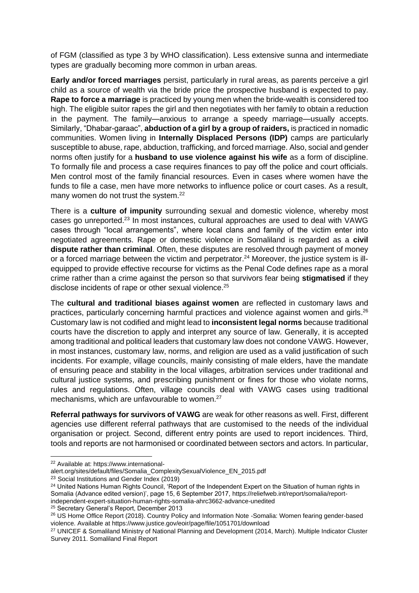of FGM (classified as type 3 by WHO classification). Less extensive sunna and intermediate types are gradually becoming more common in urban areas.

**Early and/or forced marriages** persist, particularly in rural areas, as parents perceive a girl child as a source of wealth via the bride price the prospective husband is expected to pay. **Rape to force a marriage** is practiced by young men when the bride-wealth is considered too high. The eligible suitor rapes the girl and then negotiates with her family to obtain a reduction in the payment. The family—anxious to arrange a speedy marriage—usually accepts. Similarly, "Dhabar-garaac", **abduction of a girl by a group of raiders,** is practiced in nomadic communities. Women living in **Internally Displaced Persons (IDP)** camps are particularly susceptible to abuse, rape, abduction, trafficking, and forced marriage. Also, social and gender norms often justify for a **husband to use violence against his wife** as a form of discipline. To formally file and process a case requires finances to pay off the police and court officials. Men control most of the family financial resources. Even in cases where women have the funds to file a case, men have more networks to influence police or court cases. As a result, many women do not trust the system.<sup>22</sup>

There is a **culture of impunity** surrounding sexual and domestic violence, whereby most cases go unreported.<sup>23</sup> In most instances, cultural approaches are used to deal with VAWG cases through "local arrangements", where local clans and family of the victim enter into negotiated agreements. Rape or domestic violence in Somaliland is regarded as a **civil dispute rather than criminal**. Often, these disputes are resolved through payment of money or a forced marriage between the victim and perpetrator.<sup>24</sup> Moreover, the justice system is illequipped to provide effective recourse for victims as the Penal Code defines rape as a moral crime rather than a crime against the person so that survivors fear being **stigmatised** if they disclose incidents of rape or other sexual violence.<sup>25</sup>

The **cultural and traditional biases against women** are reflected in customary laws and practices, particularly concerning harmful practices and violence against women and girls.<sup>26</sup> Customary law is not codified and might lead to **inconsistent legal norms** because traditional courts have the discretion to apply and interpret any source of law. Generally, it is accepted among traditional and political leaders that customary law does not condone VAWG. However, in most instances, customary law, norms, and religion are used as a valid justification of such incidents. For example, village councils, mainly consisting of male elders, have the mandate of ensuring peace and stability in the local villages, arbitration services under traditional and cultural justice systems, and prescribing punishment or fines for those who violate norms, rules and regulations. Often, village councils deal with VAWG cases using traditional mechanisms, which are unfavourable to women.<sup>27</sup>

**Referral pathways for survivors of VAWG** are weak for other reasons as well. First, different agencies use different referral pathways that are customised to the needs of the individual organisation or project. Second, different entry points are used to report incidences. Third, tools and reports are not harmonised or coordinated between sectors and actors. In particular,

<sup>23</sup> Social Institutions and Gender Index (2019)

<sup>25</sup> Secretary General's Report, December 2013

<sup>22</sup> Available at: https://www.international-

alert.org/sites/default/files/Somalia\_ComplexitySexualViolence\_EN\_2015.pdf

<sup>&</sup>lt;sup>24</sup> United Nations Human Rights Council, 'Report of the Independent Expert on the Situation of human rights in Somalia (Advance edited version)', page 15, 6 September 2017, https://reliefweb.int/report/somalia/reportindependent-expert-situation-human-rights-somalia-ahrc3662-advance-unedited

<sup>&</sup>lt;sup>26</sup> US Home Office Report (2018). Country Policy and Information Note -Somalia: Women fearing gender-based violence. Available at https://www.justice.gov/eoir/page/file/1051701/download

<sup>27</sup> UNICEF & Somaliland Ministry of National Planning and Development (2014, March). Multiple Indicator Cluster Survey 2011. Somaliland Final Report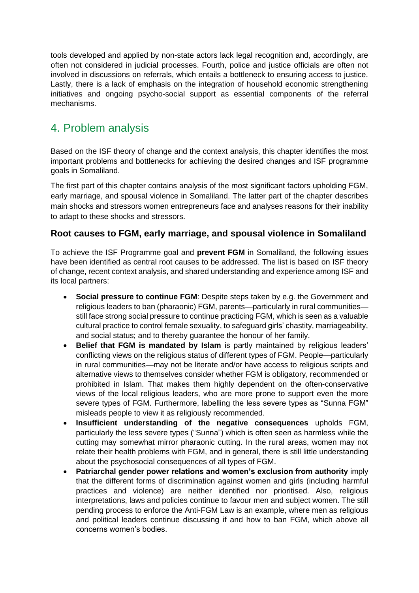tools developed and applied by non-state actors lack legal recognition and, accordingly, are often not considered in judicial processes. Fourth, police and justice officials are often not involved in discussions on referrals, which entails a bottleneck to ensuring access to justice. Lastly, there is a lack of emphasis on the integration of household economic strengthening initiatives and ongoing psycho-social support as essential components of the referral mechanisms.

# <span id="page-9-0"></span>4. Problem analysis

Based on the ISF theory of change and the context analysis, this chapter identifies the most important problems and bottlenecks for achieving the desired changes and ISF programme goals in Somaliland.

The first part of this chapter contains analysis of the most significant factors upholding FGM, early marriage, and spousal violence in Somaliland. The latter part of the chapter describes main shocks and stressors women entrepreneurs face and analyses reasons for their inability to adapt to these shocks and stressors.

## <span id="page-9-1"></span>**Root causes to FGM, early marriage, and spousal violence in Somaliland**

To achieve the ISF Programme goal and **prevent FGM** in Somaliland, the following issues have been identified as central root causes to be addressed. The list is based on ISF theory of change, recent context analysis, and shared understanding and experience among ISF and its local partners:

- **Social pressure to continue FGM**: Despite steps taken by e.g. the Government and religious leaders to ban (pharaonic) FGM, parents—particularly in rural communities still face strong social pressure to continue practicing FGM, which is seen as a valuable cultural practice to control female sexuality, to safeguard girls' chastity, marriageability, and social status; and to thereby guarantee the honour of her family.
- **Belief that FGM is mandated by Islam** is partly maintained by religious leaders' conflicting views on the religious status of different types of FGM. People—particularly in rural communities—may not be literate and/or have access to religious scripts and alternative views to themselves consider whether FGM is obligatory, recommended or prohibited in Islam. That makes them highly dependent on the often-conservative views of the local religious leaders, who are more prone to support even the more severe types of FGM. Furthermore, labelling the less severe types as "Sunna FGM" misleads people to view it as religiously recommended.
- **Insufficient understanding of the negative consequences** upholds FGM, particularly the less severe types ("Sunna") which is often seen as harmless while the cutting may somewhat mirror pharaonic cutting. In the rural areas, women may not relate their health problems with FGM, and in general, there is still little understanding about the psychosocial consequences of all types of FGM.
- **Patriarchal gender power relations and women's exclusion from authority** imply that the different forms of discrimination against women and girls (including harmful practices and violence) are neither identified nor prioritised. Also, religious interpretations, laws and policies continue to favour men and subject women. The still pending process to enforce the Anti-FGM Law is an example, where men as religious and political leaders continue discussing if and how to ban FGM, which above all concerns women's bodies.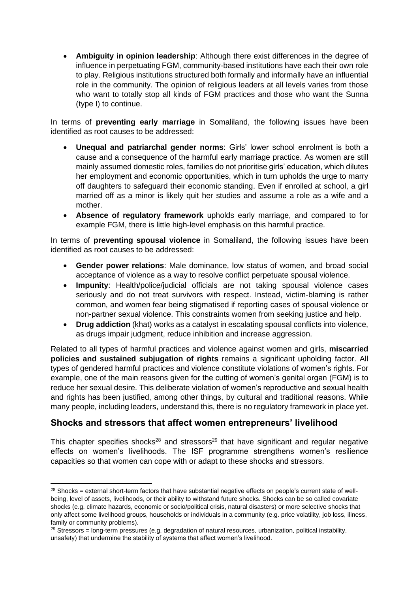• **Ambiguity in opinion leadership**: Although there exist differences in the degree of influence in perpetuating FGM, community-based institutions have each their own role to play. Religious institutions structured both formally and informally have an influential role in the community. The opinion of religious leaders at all levels varies from those who want to totally stop all kinds of FGM practices and those who want the Sunna (type I) to continue.

In terms of **preventing early marriage** in Somaliland, the following issues have been identified as root causes to be addressed:

- **Unequal and patriarchal gender norms**: Girls' lower school enrolment is both a cause and a consequence of the harmful early marriage practice. As women are still mainly assumed domestic roles, families do not prioritise girls' education, which dilutes her employment and economic opportunities, which in turn upholds the urge to marry off daughters to safeguard their economic standing. Even if enrolled at school, a girl married off as a minor is likely quit her studies and assume a role as a wife and a mother.
- **Absence of regulatory framework** upholds early marriage, and compared to for example FGM, there is little high-level emphasis on this harmful practice.

In terms of **preventing spousal violence** in Somaliland, the following issues have been identified as root causes to be addressed:

- **Gender power relations**: Male dominance, low status of women, and broad social acceptance of violence as a way to resolve conflict perpetuate spousal violence.
- **Impunity**: Health/police/judicial officials are not taking spousal violence cases seriously and do not treat survivors with respect. Instead, victim-blaming is rather common, and women fear being stigmatised if reporting cases of spousal violence or non-partner sexual violence. This constraints women from seeking justice and help.
- **Drug addiction** (khat) works as a catalyst in escalating spousal conflicts into violence, as drugs impair judgment, reduce inhibition and increase aggression.

Related to all types of harmful practices and violence against women and girls, **miscarried policies and sustained subjugation of rights** remains a significant upholding factor. All types of gendered harmful practices and violence constitute violations of women's rights. For example, one of the main reasons given for the cutting of women's genital organ (FGM) is to reduce her sexual desire. This deliberate violation of women's reproductive and sexual health and rights has been justified, among other things, by cultural and traditional reasons. While many people, including leaders, understand this, there is no regulatory framework in place yet.

## <span id="page-10-0"></span>**Shocks and stressors that affect women entrepreneurs' livelihood**

This chapter specifies shocks<sup>28</sup> and stressors<sup>29</sup> that have significant and regular negative effects on women's livelihoods. The ISF programme strengthens women's resilience capacities so that women can cope with or adapt to these shocks and stressors.

 $28$  Shocks = external short-term factors that have substantial negative effects on people's current state of wellbeing, level of assets, livelihoods, or their ability to withstand future shocks. Shocks can be so called covariate shocks (e.g. climate hazards, economic or socio/political crisis, natural disasters) or more selective shocks that only affect some livelihood groups, households or individuals in a community (e.g. price volatility, job loss, illness, family or community problems).

 $29$  Stressors = long-term pressures (e.g. degradation of natural resources, urbanization, political instability, unsafety) that undermine the stability of systems that affect women's livelihood.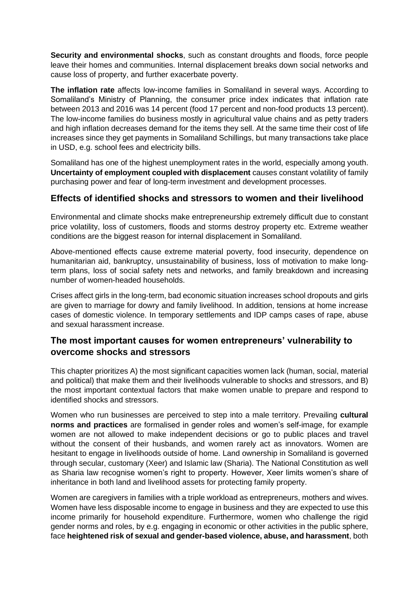**Security and environmental shocks**, such as constant droughts and floods, force people leave their homes and communities. Internal displacement breaks down social networks and cause loss of property, and further exacerbate poverty.

**The inflation rate** affects low-income families in Somaliland in several ways. According to Somaliland's Ministry of Planning, the consumer price index indicates that inflation rate between 2013 and 2016 was 14 percent (food 17 percent and non-food products 13 percent). The low-income families do business mostly in agricultural value chains and as petty traders and high inflation decreases demand for the items they sell. At the same time their cost of life increases since they get payments in Somaliland Schillings, but many transactions take place in USD, e.g. school fees and electricity bills.

Somaliland has one of the highest unemployment rates in the world, especially among youth. **Uncertainty of employment coupled with displacement** causes constant volatility of family purchasing power and fear of long-term investment and development processes.

### <span id="page-11-0"></span>**Effects of identified shocks and stressors to women and their livelihood**

Environmental and climate shocks make entrepreneurship extremely difficult due to constant price volatility, loss of customers, floods and storms destroy property etc. Extreme weather conditions are the biggest reason for internal displacement in Somaliland.

Above-mentioned effects cause extreme material poverty, food insecurity, dependence on humanitarian aid, bankruptcy, unsustainability of business, loss of motivation to make longterm plans, loss of social safety nets and networks, and family breakdown and increasing number of women-headed households.

Crises affect girls in the long-term, bad economic situation increases school dropouts and girls are given to marriage for dowry and family livelihood. In addition, tensions at home increase cases of domestic violence. In temporary settlements and IDP camps cases of rape, abuse and sexual harassment increase.

## <span id="page-11-1"></span>**The most important causes for women entrepreneurs' vulnerability to overcome shocks and stressors**

This chapter prioritizes A) the most significant capacities women lack (human, social, material and political) that make them and their livelihoods vulnerable to shocks and stressors, and B) the most important contextual factors that make women unable to prepare and respond to identified shocks and stressors.

Women who run businesses are perceived to step into a male territory. Prevailing **cultural norms and practices** are formalised in gender roles and women's self-image, for example women are not allowed to make independent decisions or go to public places and travel without the consent of their husbands, and women rarely act as innovators. Women are hesitant to engage in livelihoods outside of home. Land ownership in Somaliland is governed through secular, customary (Xeer) and Islamic law (Sharia). The National Constitution as well as Sharia law recognise women's right to property. However, Xeer limits women's share of inheritance in both land and livelihood assets for protecting family property.

Women are caregivers in families with a triple workload as entrepreneurs, mothers and wives. Women have less disposable income to engage in business and they are expected to use this income primarily for household expenditure. Furthermore, women who challenge the rigid gender norms and roles, by e.g. engaging in economic or other activities in the public sphere, face **heightened risk of sexual and gender-based violence, abuse, and harassment**, both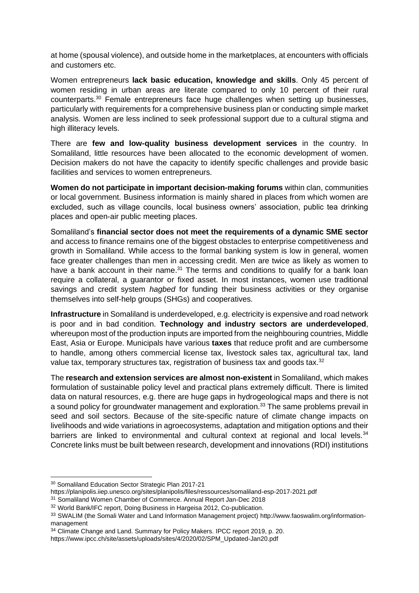at home (spousal violence), and outside home in the marketplaces, at encounters with officials and customers etc.

Women entrepreneurs **lack basic education, knowledge and skills**. Only 45 percent of women residing in urban areas are literate compared to only 10 percent of their rural counterparts.<sup>30</sup> Female entrepreneurs face huge challenges when setting up businesses, particularly with requirements for a comprehensive business plan or conducting simple market analysis. Women are less inclined to seek professional support due to a cultural stigma and high illiteracy levels.

There are **few and low-quality business development services** in the country. In Somaliland, little resources have been allocated to the economic development of women. Decision makers do not have the capacity to identify specific challenges and provide basic facilities and services to women entrepreneurs.

**Women do not participate in important decision-making forums** within clan, communities or local government. Business information is mainly shared in places from which women are excluded, such as village councils, local business owners' association, public tea drinking places and open-air public meeting places.

Somaliland's **financial sector does not meet the requirements of a dynamic SME sector** and access to finance remains one of the biggest obstacles to enterprise competitiveness and growth in Somaliland. While access to the formal banking system is low in general, women face greater challenges than men in accessing credit. Men are twice as likely as women to have a bank account in their name.<sup>31</sup> The terms and conditions to qualify for a bank loan require a collateral, a guarantor or fixed asset. In most instances, women use traditional savings and credit system *hagbed* for funding their business activities or they organise themselves into self-help groups (SHGs) and cooperatives.

**Infrastructure** in Somaliland is underdeveloped, e.g. electricity is expensive and road network is poor and in bad condition. **Technology and industry sectors are underdeveloped**, whereupon most of the production inputs are imported from the neighbouring countries, Middle East, Asia or Europe. Municipals have various **taxes** that reduce profit and are cumbersome to handle, among others commercial license tax, livestock sales tax, agricultural tax, land value tax, temporary structures tax, registration of business tax and goods tax.<sup>32</sup>

The **research and extension services are almost non-existent** in Somaliland, which makes formulation of sustainable policy level and practical plans extremely difficult. There is limited data on natural resources, e.g. there are huge gaps in hydrogeological maps and there is not a sound policy for groundwater management and exploration.<sup>33</sup> The same problems prevail in seed and soil sectors. Because of the site-specific nature of climate change impacts on livelihoods and wide variations in agroecosystems, adaptation and mitigation options and their barriers are linked to environmental and cultural context at regional and local levels.<sup>34</sup> Concrete links must be built between research, development and innovations (RDI) institutions

<sup>30</sup> Somaliland Education Sector Strategic Plan 2017-21

https://planipolis.iiep.unesco.org/sites/planipolis/files/ressources/somaliland-esp-2017-2021.pdf

<sup>31</sup> Somaliland Women Chamber of Commerce. Annual Report Jan-Dec 2018

<sup>32</sup> World Bank/IFC report, Doing Business in Hargeisa 2012, Co-publication.

<sup>&</sup>lt;sup>33</sup> SWALIM (the Somali Water and Land Information Management project) http://www.faoswalim.org/informationmanagement

<sup>&</sup>lt;sup>34</sup> Climate Change and Land. Summary for Policy Makers. IPCC report 2019, p. 20.

https://www.ipcc.ch/site/assets/uploads/sites/4/2020/02/SPM\_Updated-Jan20.pdf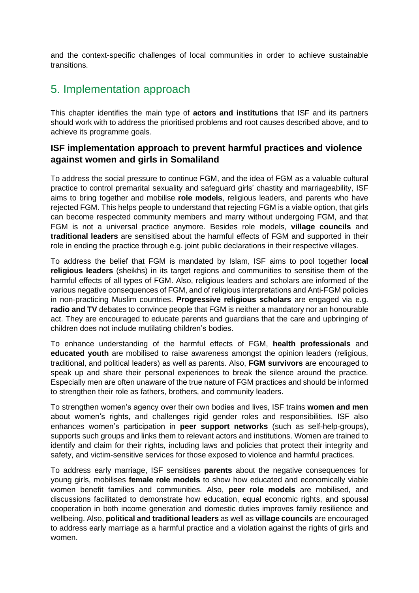and the context-specific challenges of local communities in order to achieve sustainable transitions.

# <span id="page-13-0"></span>5. Implementation approach

This chapter identifies the main type of **actors and institutions** that ISF and its partners should work with to address the prioritised problems and root causes described above, and to achieve its programme goals.

## <span id="page-13-1"></span>**ISF implementation approach to prevent harmful practices and violence against women and girls in Somaliland**

To address the social pressure to continue FGM, and the idea of FGM as a valuable cultural practice to control premarital sexuality and safeguard girls' chastity and marriageability, ISF aims to bring together and mobilise **role models**, religious leaders, and parents who have rejected FGM. This helps people to understand that rejecting FGM is a viable option, that girls can become respected community members and marry without undergoing FGM, and that FGM is not a universal practice anymore. Besides role models, **village councils** and **traditional leaders** are sensitised about the harmful effects of FGM and supported in their role in ending the practice through e.g. joint public declarations in their respective villages.

To address the belief that FGM is mandated by Islam, ISF aims to pool together **local religious leaders** (sheikhs) in its target regions and communities to sensitise them of the harmful effects of all types of FGM. Also, religious leaders and scholars are informed of the various negative consequences of FGM, and of religious interpretations and Anti-FGM policies in non-practicing Muslim countries. **Progressive religious scholars** are engaged via e.g. **radio and TV** debates to convince people that FGM is neither a mandatory nor an honourable act. They are encouraged to educate parents and guardians that the care and upbringing of children does not include mutilating children's bodies.

To enhance understanding of the harmful effects of FGM, **health professionals** and **educated youth** are mobilised to raise awareness amongst the opinion leaders (religious, traditional, and political leaders) as well as parents. Also, **FGM survivors** are encouraged to speak up and share their personal experiences to break the silence around the practice. Especially men are often unaware of the true nature of FGM practices and should be informed to strengthen their role as fathers, brothers, and community leaders.

To strengthen women's agency over their own bodies and lives, ISF trains **women and men**  about women's rights, and challenges rigid gender roles and responsibilities. ISF also enhances women's participation in **peer support networks** (such as self-help-groups), supports such groups and links them to relevant actors and institutions. Women are trained to identify and claim for their rights, including laws and policies that protect their integrity and safety, and victim-sensitive services for those exposed to violence and harmful practices.

To address early marriage, ISF sensitises **parents** about the negative consequences for young girls, mobilises **female role models** to show how educated and economically viable women benefit families and communities. Also, **peer role models** are mobilised, and discussions facilitated to demonstrate how education, equal economic rights, and spousal cooperation in both income generation and domestic duties improves family resilience and wellbeing. Also, **political and traditional leaders** as well as **village councils** are encouraged to address early marriage as a harmful practice and a violation against the rights of girls and women.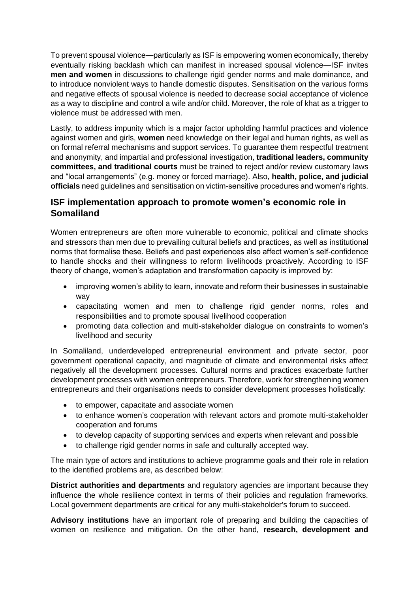To prevent spousal violence**—**particularly as ISF is empowering women economically, thereby eventually risking backlash which can manifest in increased spousal violence—ISF invites **men and women** in discussions to challenge rigid gender norms and male dominance, and to introduce nonviolent ways to handle domestic disputes. Sensitisation on the various forms and negative effects of spousal violence is needed to decrease social acceptance of violence as a way to discipline and control a wife and/or child. Moreover, the role of khat as a trigger to violence must be addressed with men.

Lastly, to address impunity which is a major factor upholding harmful practices and violence against women and girls, **women** need knowledge on their legal and human rights, as well as on formal referral mechanisms and support services. To guarantee them respectful treatment and anonymity, and impartial and professional investigation, **traditional leaders, community committees, and traditional courts** must be trained to reject and/or review customary laws and "local arrangements" (e.g. money or forced marriage). Also, **health, police, and judicial officials** need guidelines and sensitisation on victim-sensitive procedures and women's rights.

## <span id="page-14-0"></span>**ISF implementation approach to promote women's economic role in Somaliland**

Women entrepreneurs are often more vulnerable to economic, political and climate shocks and stressors than men due to prevailing cultural beliefs and practices, as well as institutional norms that formalise these. Beliefs and past experiences also affect women's self-confidence to handle shocks and their willingness to reform livelihoods proactively. According to ISF theory of change, women's adaptation and transformation capacity is improved by:

- improving women's ability to learn, innovate and reform their businesses in sustainable way
- capacitating women and men to challenge rigid gender norms, roles and responsibilities and to promote spousal livelihood cooperation
- promoting data collection and multi-stakeholder dialogue on constraints to women's livelihood and security

In Somaliland, underdeveloped entrepreneurial environment and private sector, poor government operational capacity, and magnitude of climate and environmental risks affect negatively all the development processes. Cultural norms and practices exacerbate further development processes with women entrepreneurs. Therefore, work for strengthening women entrepreneurs and their organisations needs to consider development processes holistically:

- to empower, capacitate and associate women
- to enhance women's cooperation with relevant actors and promote multi-stakeholder cooperation and forums
- to develop capacity of supporting services and experts when relevant and possible
- to challenge rigid gender norms in safe and culturally accepted way.

The main type of actors and institutions to achieve programme goals and their role in relation to the identified problems are, as described below:

**District authorities and departments** and regulatory agencies are important because they influence the whole resilience context in terms of their policies and regulation frameworks. Local government departments are critical for any multi-stakeholder's forum to succeed.

**Advisory institutions** have an important role of preparing and building the capacities of women on resilience and mitigation. On the other hand, **research, development and**